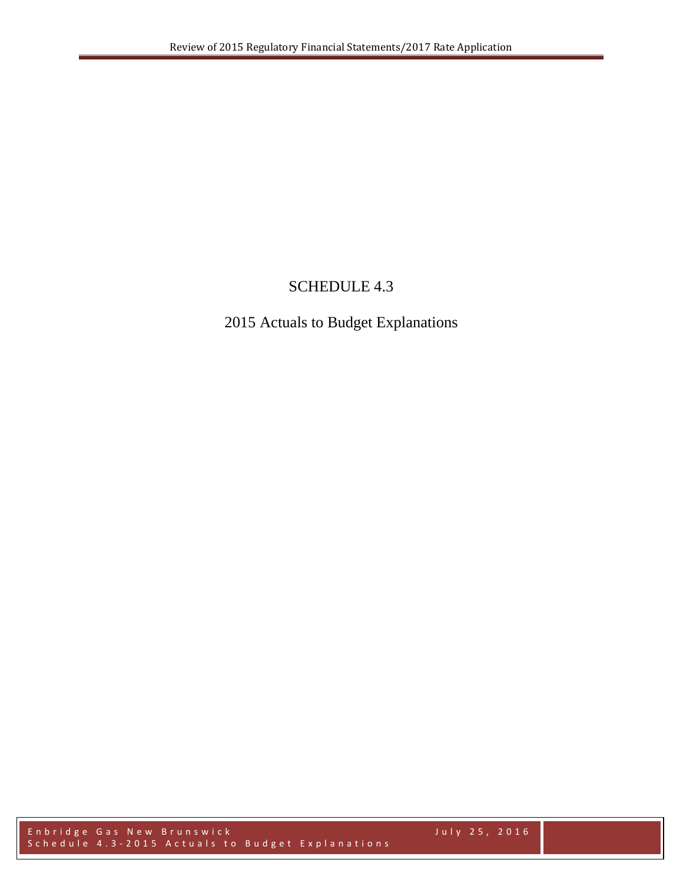## SCHEDULE 4.3

# 2015 Actuals to Budget Explanations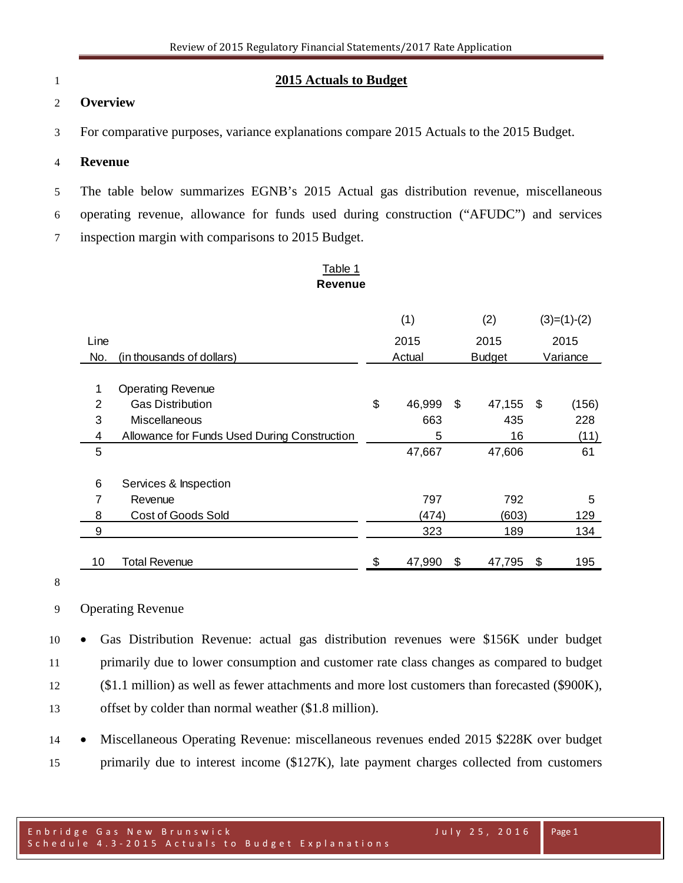#### **2015 Actuals to Budget**

#### **Overview**

For comparative purposes, variance explanations compare 2015 Actuals to the 2015 Budget.

#### **Revenue**

 The table below summarizes EGNB's 2015 Actual gas distribution revenue, miscellaneous operating revenue, allowance for funds used during construction ("AFUDC") and services

inspection margin with comparisons to 2015 Budget.

#### Table 1 **Revenue**

|                |                                              | (1) |        |    | (2)           |          | $(3)=(1)-(2)$ |
|----------------|----------------------------------------------|-----|--------|----|---------------|----------|---------------|
| Line           |                                              |     | 2015   |    | 2015          |          | 2015          |
| No.            | (in thousands of dollars)                    |     | Actual |    | <b>Budget</b> | Variance |               |
|                |                                              |     |        |    |               |          |               |
| 1              | <b>Operating Revenue</b>                     |     |        |    |               |          |               |
| $\overline{2}$ | <b>Gas Distribution</b>                      | \$  | 46,999 | \$ | 47,155        | \$       | (156)         |
| 3              | Miscellaneous                                |     | 663    |    | 435           |          | 228           |
| 4              | Allowance for Funds Used During Construction |     | 5      |    | 16            |          | (11)          |
| 5              |                                              |     | 47,667 |    | 47,606        |          | 61            |
|                |                                              |     |        |    |               |          |               |
| 6              | Services & Inspection                        |     |        |    |               |          |               |
| 7              | Revenue                                      |     | 797    |    | 792           |          | 5             |
| 8              | <b>Cost of Goods Sold</b>                    |     | (474)  |    | (603)         |          | 129           |
| 9              |                                              |     | 323    |    | 189           |          | 134           |
|                |                                              |     |        |    |               |          |               |
| 10             | <b>Total Revenue</b>                         | \$  | 47,990 | \$ | 47,795        | \$       | 195           |

#### Operating Revenue

 • Gas Distribution Revenue: actual gas distribution revenues were \$156K under budget primarily due to lower consumption and customer rate class changes as compared to budget (\$1.1 million) as well as fewer attachments and more lost customers than forecasted (\$900K), offset by colder than normal weather (\$1.8 million).

 • Miscellaneous Operating Revenue: miscellaneous revenues ended 2015 \$228K over budget primarily due to interest income (\$127K), late payment charges collected from customers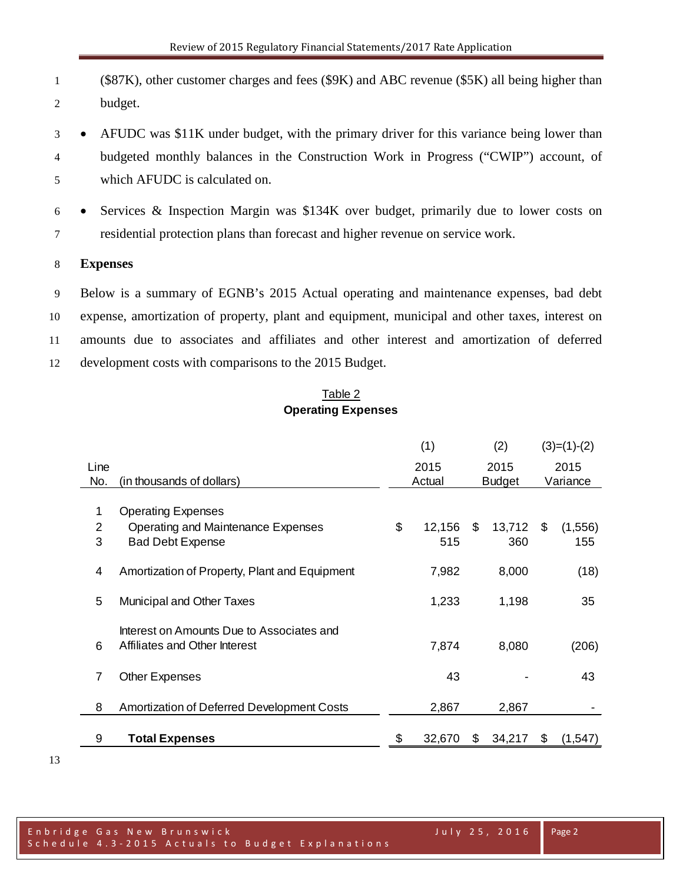- (\$87K), other customer charges and fees (\$9K) and ABC revenue (\$5K) all being higher than budget.
- AFUDC was \$11K under budget, with the primary driver for this variance being lower than budgeted monthly balances in the Construction Work in Progress ("CWIP") account, of which AFUDC is calculated on.
- Services & Inspection Margin was \$134K over budget, primarily due to lower costs on residential protection plans than forecast and higher revenue on service work.

## **Expenses**

 Below is a summary of EGNB's 2015 Actual operating and maintenance expenses, bad debt expense, amortization of property, plant and equipment, municipal and other taxes, interest on amounts due to associates and affiliates and other interest and amortization of deferred development costs with comparisons to the 2015 Budget.

#### Table 2 **Operating Expenses**

|      |                                                                            | (1) |              | (2) |               |      | $(3)=(1)-(2)$ |
|------|----------------------------------------------------------------------------|-----|--------------|-----|---------------|------|---------------|
| Line |                                                                            |     | 2015<br>2015 |     |               | 2015 |               |
| No.  | (in thousands of dollars)                                                  |     | Actual       |     | <b>Budget</b> |      | Variance      |
| 1    | <b>Operating Expenses</b>                                                  |     |              |     |               |      |               |
| 2    | Operating and Maintenance Expenses                                         | \$  | 12,156       | \$  | 13,712        | \$   | (1, 556)      |
| 3    | <b>Bad Debt Expense</b>                                                    |     | 515          |     | 360           |      | 155           |
| 4    | Amortization of Property, Plant and Equipment                              |     | 7,982        |     | 8,000         |      | (18)          |
| 5    | Municipal and Other Taxes                                                  |     | 1,233        |     | 1,198         |      | 35            |
| 6    | Interest on Amounts Due to Associates and<br>Affiliates and Other Interest |     | 7,874        |     | 8,080         |      | (206)         |
| 7    | <b>Other Expenses</b>                                                      |     | 43           |     |               |      | 43            |
| 8    | <b>Amortization of Deferred Development Costs</b>                          |     | 2,867        |     | 2,867         |      |               |
| 9    | <b>Total Expenses</b>                                                      | S   | 32,670       | \$  | 34,217        | \$   | (1, 547)      |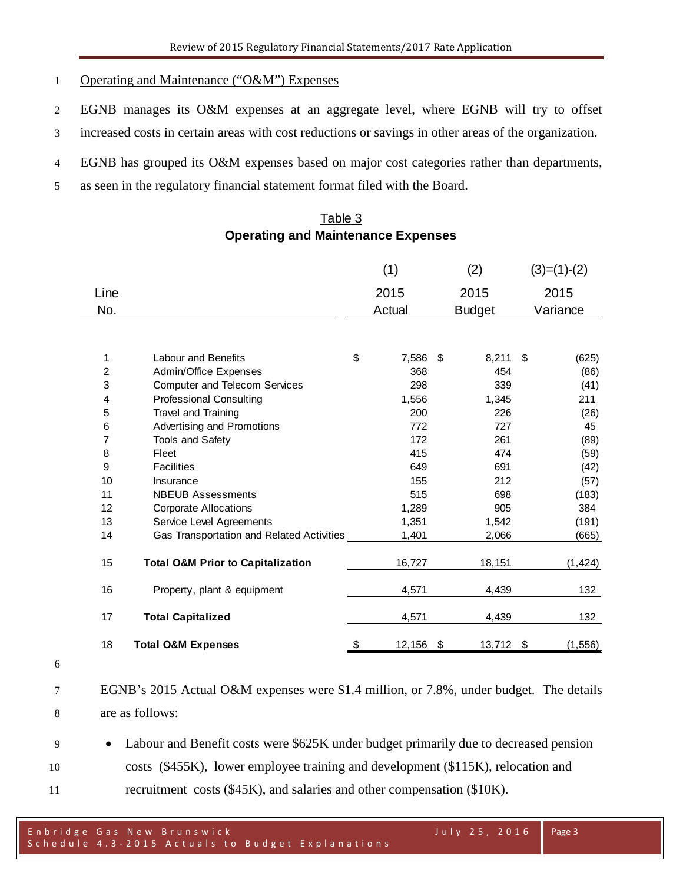## Operating and Maintenance ("O&M") Expenses

- EGNB manages its O&M expenses at an aggregate level, where EGNB will try to offset
- increased costs in certain areas with cost reductions or savings in other areas of the organization.
- EGNB has grouped its O&M expenses based on major cost categories rather than departments,
- as seen in the regulatory financial statement format filed with the Board.

## Table 3 **Operating and Maintenance Expenses**

|                |                                              | (1)          | (2)           | $(3)=(1)-(2)$  |
|----------------|----------------------------------------------|--------------|---------------|----------------|
| Line           |                                              | 2015         | 2015          | 2015           |
| No.            |                                              | Actual       | <b>Budget</b> | Variance       |
|                |                                              |              |               |                |
| 1              | <b>Labour and Benefits</b>                   | \$<br>7,586  | \$<br>8,211   | \$<br>(625)    |
| $\overline{c}$ | Admin/Office Expenses                        | 368          | 454           | (86)           |
| 3              | <b>Computer and Telecom Services</b>         | 298          | 339           | (41)           |
| 4              | <b>Professional Consulting</b>               | 1,556        | 1,345         | 211            |
| 5              | <b>Travel and Training</b>                   | 200          | 226           | (26)           |
| 6              | Advertising and Promotions                   | 772          | 727           | 45             |
| 7              | <b>Tools and Safety</b>                      | 172          | 261           | (89)           |
| 8              | Fleet                                        | 415          | 474           | (59)           |
| 9              | <b>Facilities</b>                            | 649          | 691           | (42)           |
| 10             | Insurance                                    | 155          | 212           | (57)           |
| 11             | <b>NBEUB Assessments</b>                     | 515          | 698           | (183)          |
| 12             | <b>Corporate Allocations</b>                 | 1,289        | 905           | 384            |
| 13             | Service Level Agreements                     | 1,351        | 1,542         | (191)          |
| 14             | Gas Transportation and Related Activities    | 1,401        | 2,066         | (665)          |
| 15             | <b>Total O&amp;M Prior to Capitalization</b> | 16,727       | 18,151        | (1, 424)       |
| 16             | Property, plant & equipment                  | 4,571        | 4,439         | 132            |
| 17             | <b>Total Capitalized</b>                     | 4,571        | 4,439         | 132            |
| 18             | <b>Total O&amp;M Expenses</b>                | \$<br>12,156 | \$<br>13,712  | \$<br>(1, 556) |

- 
- EGNB's 2015 Actual O&M expenses were \$1.4 million, or 7.8%, under budget. The details are as follows:
- Labour and Benefit costs were \$625K under budget primarily due to decreased pension costs (\$455K), lower employee training and development (\$115K), relocation and 11 recruitment costs (\$45K), and salaries and other compensation (\$10K).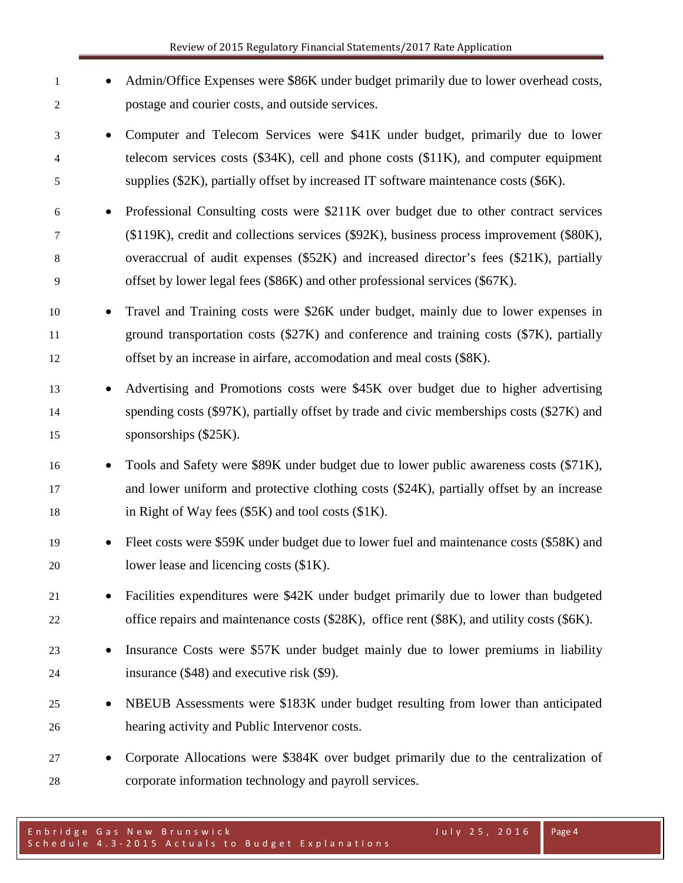| 1<br>2           |           | Admin/Office Expenses were \$86K under budget primarily due to lower overhead costs,<br>postage and courier costs, and outside services.                                                                                                                                                                                                                  |
|------------------|-----------|-----------------------------------------------------------------------------------------------------------------------------------------------------------------------------------------------------------------------------------------------------------------------------------------------------------------------------------------------------------|
| 3<br>4<br>5      | $\bullet$ | Computer and Telecom Services were \$41K under budget, primarily due to lower<br>telecom services costs (\$34K), cell and phone costs (\$11K), and computer equipment<br>supplies (\$2K), partially offset by increased IT software maintenance costs (\$6K).                                                                                             |
| 6<br>7<br>8<br>9 |           | Professional Consulting costs were \$211K over budget due to other contract services<br>(\$119K), credit and collections services (\$92K), business process improvement (\$80K),<br>overaccrual of audit expenses (\$52K) and increased director's fees (\$21K), partially<br>offset by lower legal fees (\$86K) and other professional services (\$67K). |
| 10<br>11<br>12   |           | Travel and Training costs were \$26K under budget, mainly due to lower expenses in<br>ground transportation costs (\$27K) and conference and training costs (\$7K), partially<br>offset by an increase in airfare, accomodation and meal costs (\$8K).                                                                                                    |
| 13<br>14<br>15   |           | Advertising and Promotions costs were \$45K over budget due to higher advertising<br>spending costs (\$97K), partially offset by trade and civic memberships costs (\$27K) and<br>sponsorships (\$25K).                                                                                                                                                   |
| 16<br>17<br>18   |           | Tools and Safety were \$89K under budget due to lower public awareness costs (\$71K),<br>and lower uniform and protective clothing costs (\$24K), partially offset by an increase<br>in Right of Way fees (\$5K) and tool costs (\$1K).                                                                                                                   |
| 19<br>20         | $\bullet$ | Fleet costs were \$59K under budget due to lower fuel and maintenance costs (\$58K) and<br>lower lease and licencing costs (\$1K).                                                                                                                                                                                                                        |
| 21<br>22         |           | Facilities expenditures were \$42K under budget primarily due to lower than budgeted<br>office repairs and maintenance costs (\$28K), office rent (\$8K), and utility costs (\$6K).                                                                                                                                                                       |
| 23<br>24         | $\bullet$ | Insurance Costs were \$57K under budget mainly due to lower premiums in liability<br>insurance $(\$48)$ and executive risk $(\$9)$ .                                                                                                                                                                                                                      |
| 25<br>26         | $\bullet$ | NBEUB Assessments were \$183K under budget resulting from lower than anticipated<br>hearing activity and Public Intervenor costs.                                                                                                                                                                                                                         |
| 27<br>28         |           | Corporate Allocations were \$384K over budget primarily due to the centralization of<br>corporate information technology and payroll services.                                                                                                                                                                                                            |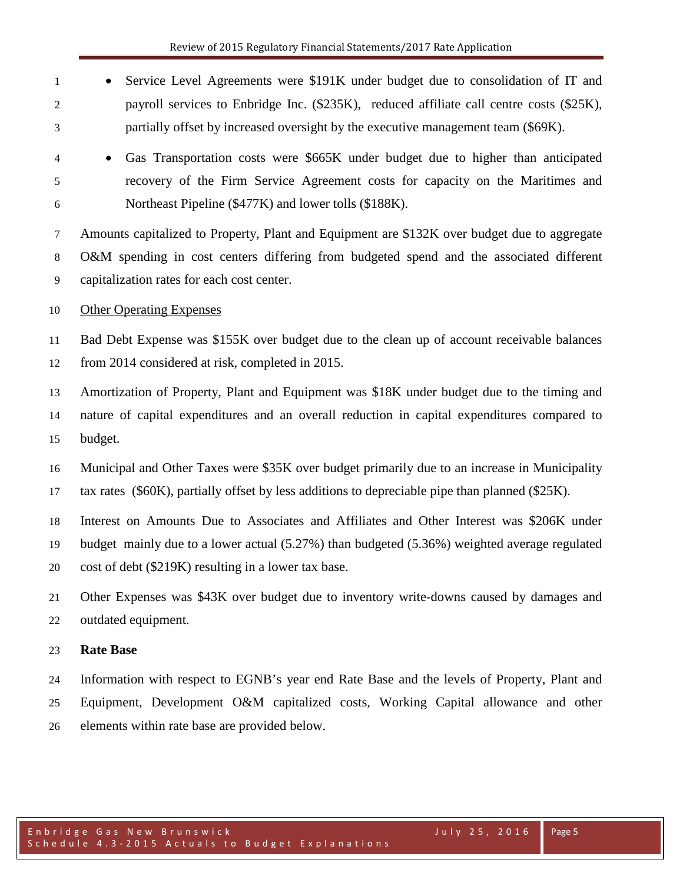- Service Level Agreements were \$191K under budget due to consolidation of IT and payroll services to Enbridge Inc. (\$235K), reduced affiliate call centre costs (\$25K), partially offset by increased oversight by the executive management team (\$69K).
- Gas Transportation costs were \$665K under budget due to higher than anticipated recovery of the Firm Service Agreement costs for capacity on the Maritimes and Northeast Pipeline (\$477K) and lower tolls (\$188K).

 Amounts capitalized to Property, Plant and Equipment are \$132K over budget due to aggregate O&M spending in cost centers differing from budgeted spend and the associated different capitalization rates for each cost center.

#### 10 Other Operating Expenses

 Bad Debt Expense was \$155K over budget due to the clean up of account receivable balances from 2014 considered at risk, completed in 2015.

 Amortization of Property, Plant and Equipment was \$18K under budget due to the timing and nature of capital expenditures and an overall reduction in capital expenditures compared to budget.

- Municipal and Other Taxes were \$35K over budget primarily due to an increase in Municipality tax rates (\$60K), partially offset by less additions to depreciable pipe than planned (\$25K).
- Interest on Amounts Due to Associates and Affiliates and Other Interest was \$206K under budget mainly due to a lower actual (5.27%) than budgeted (5.36%) weighted average regulated cost of debt (\$219K) resulting in a lower tax base.
- Other Expenses was \$43K over budget due to inventory write-downs caused by damages and outdated equipment.

#### **Rate Base**

 Information with respect to EGNB's year end Rate Base and the levels of Property, Plant and Equipment, Development O&M capitalized costs, Working Capital allowance and other elements within rate base are provided below.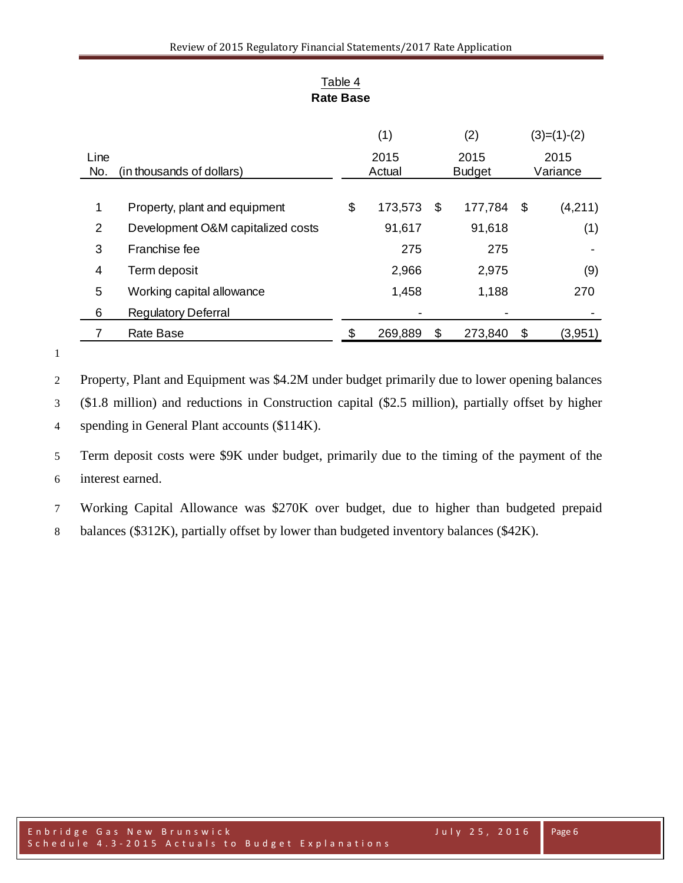|                |                                   | (1)    |         |               | (2)     |    | $(3)=(1)-(2)$ |          |
|----------------|-----------------------------------|--------|---------|---------------|---------|----|---------------|----------|
| Line           |                                   |        | 2015    |               | 2015    |    | 2015          |          |
| No.            | (in thousands of dollars)         | Actual |         | <b>Budget</b> |         |    |               | Variance |
|                |                                   |        |         |               |         |    |               |          |
| $\mathbf 1$    | Property, plant and equipment     | \$     | 173,573 | \$            | 177,784 | \$ | (4,211)       |          |
| $\overline{2}$ | Development O&M capitalized costs |        | 91,617  |               | 91,618  |    | (1)           |          |
| 3              | Franchise fee                     |        | 275     |               | 275     |    |               |          |
| 4              | Term deposit                      |        | 2,966   |               | 2,975   |    | (9)           |          |
| 5              | Working capital allowance         |        | 1,458   |               | 1,188   |    | 270           |          |
| 6              | <b>Regulatory Deferral</b>        |        |         |               |         |    |               |          |
|                | <b>Rate Base</b>                  |        | 269,889 | \$            | 273,840 | \$ | (3,951)       |          |

## Table 4 **Rate Base**

 Property, Plant and Equipment was \$4.2M under budget primarily due to lower opening balances (\$1.8 million) and reductions in Construction capital (\$2.5 million), partially offset by higher spending in General Plant accounts (\$114K).

 Term deposit costs were \$9K under budget, primarily due to the timing of the payment of the interest earned.

Working Capital Allowance was \$270K over budget, due to higher than budgeted prepaid

balances (\$312K), partially offset by lower than budgeted inventory balances (\$42K).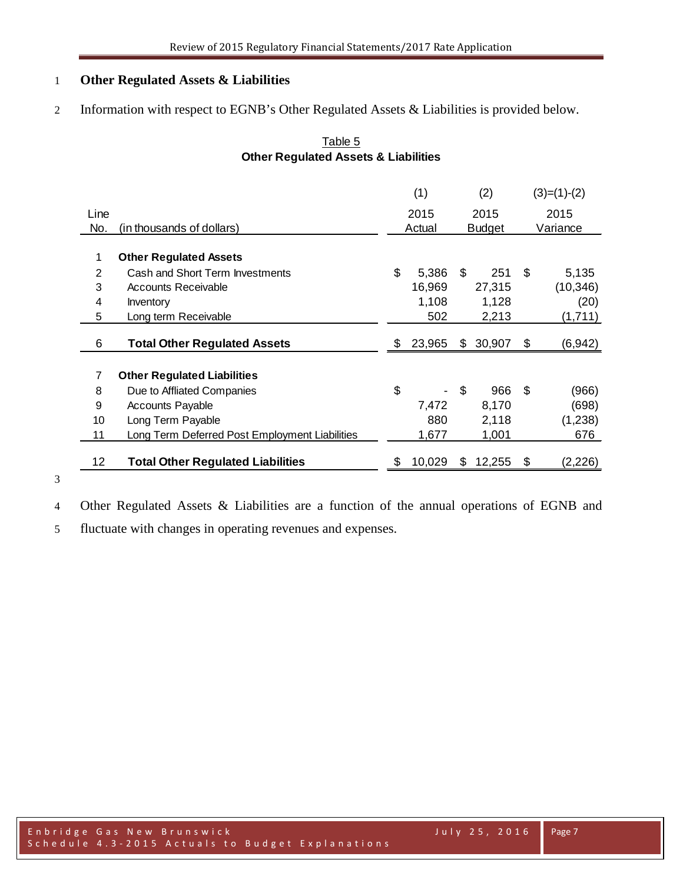## **Other Regulated Assets & Liabilities**

Information with respect to EGNB's Other Regulated Assets & Liabilities is provided below.

## Table 5 **Other Regulated Assets & Liabilities**

|      |                                                | (1)          |    | (2)           |     | $(3)=(1)-(2)$ |
|------|------------------------------------------------|--------------|----|---------------|-----|---------------|
| Line |                                                | 2015         |    | 2015          |     | 2015          |
| No.  | (in thousands of dollars)                      | Actual       |    | <b>Budget</b> |     | Variance      |
|      |                                                |              |    |               |     |               |
|      | <b>Other Regulated Assets</b>                  |              |    |               |     |               |
| 2    | Cash and Short Term Investments                | \$<br>5,386  | \$ | 251           | \$  | 5,135         |
| 3    | <b>Accounts Receivable</b>                     | 16,969       |    | 27,315        |     | (10, 346)     |
| 4    | Inventory                                      | 1,108        |    | 1,128         |     | (20)          |
| 5    | Long term Receivable                           | 502          |    | 2,213         |     | (1,711)       |
|      |                                                |              |    |               |     |               |
| 6    | <b>Total Other Regulated Assets</b>            | \$<br>23,965 | \$ | 30,907        | \$  | (6, 942)      |
| 7    | <b>Other Regulated Liabilities</b>             |              |    |               |     |               |
| 8    | Due to Affliated Companies                     | \$           | \$ | 966           | -\$ | (966)         |
| 9    | <b>Accounts Payable</b>                        | 7,472        |    | 8,170         |     | (698)         |
| 10   | Long Term Payable                              | 880          |    | 2,118         |     | (1,238)       |
| 11   | Long Term Deferred Post Employment Liabilities | 1,677        |    | 1,001         |     | 676           |
|      |                                                |              |    |               |     |               |
| 12   | <b>Total Other Regulated Liabilities</b>       | \$<br>10,029 | S  | 12,255        | \$  | (2, 226)      |

Other Regulated Assets & Liabilities are a function of the annual operations of EGNB and

fluctuate with changes in operating revenues and expenses.